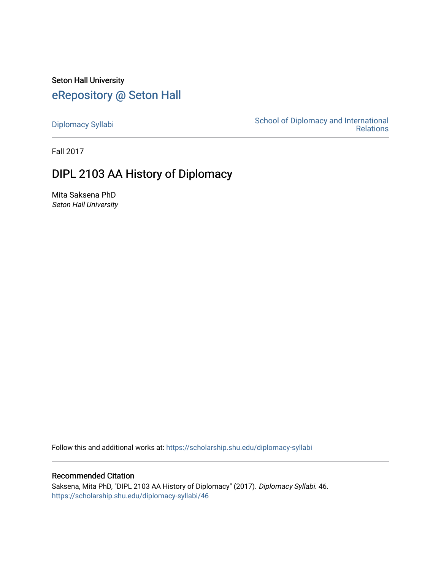Seton Hall University [eRepository @ Seton Hall](https://scholarship.shu.edu/)

[Diplomacy Syllabi](https://scholarship.shu.edu/diplomacy-syllabi) [School of Diplomacy and International](https://scholarship.shu.edu/diplomacy)  [Relations](https://scholarship.shu.edu/diplomacy) 

Fall 2017

# DIPL 2103 AA History of Diplomacy

Mita Saksena PhD Seton Hall University

Follow this and additional works at: [https://scholarship.shu.edu/diplomacy-syllabi](https://scholarship.shu.edu/diplomacy-syllabi?utm_source=scholarship.shu.edu%2Fdiplomacy-syllabi%2F46&utm_medium=PDF&utm_campaign=PDFCoverPages) 

Recommended Citation

Saksena, Mita PhD, "DIPL 2103 AA History of Diplomacy" (2017). Diplomacy Syllabi. 46. [https://scholarship.shu.edu/diplomacy-syllabi/46](https://scholarship.shu.edu/diplomacy-syllabi/46?utm_source=scholarship.shu.edu%2Fdiplomacy-syllabi%2F46&utm_medium=PDF&utm_campaign=PDFCoverPages)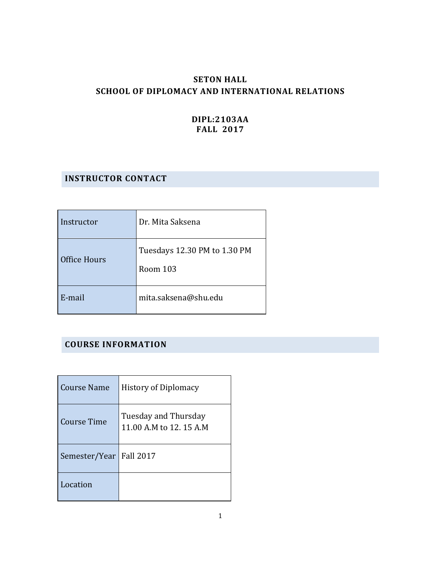## **SETON HALL SCHOOL OF DIPLOMACY AND INTERNATIONAL RELATIONS**

## **DIPL:2103AA FALL 2017**

## **INSTRUCTOR CONTACT**

| Instructor   | Dr. Mita Saksena                         |  |
|--------------|------------------------------------------|--|
| Office Hours | Tuesdays 12.30 PM to 1.30 PM<br>Room 103 |  |
| E-mail       | mita.saksena@shu.edu                     |  |

## **COURSE INFORMATION**

| Course Name        | <b>History of Diplomacy</b>                     |
|--------------------|-------------------------------------------------|
| <b>Course Time</b> | Tuesday and Thursday<br>11.00 A.M to 12. 15 A.M |
| Semester/Year      | <b>Fall 2017</b>                                |
| Location           |                                                 |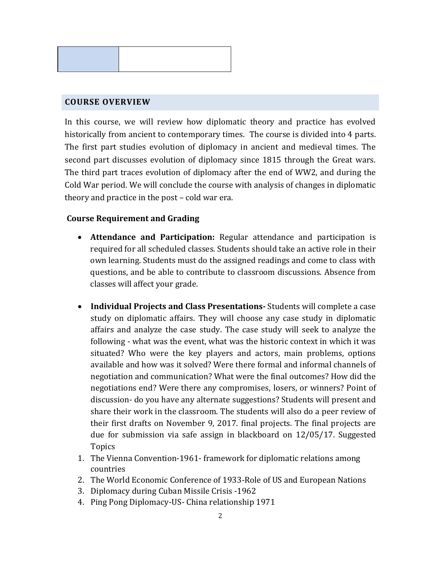

## **COURSE OVERVIEW**

In this course, we will review how diplomatic theory and practice has evolved historically from ancient to contemporary times. The course is divided into 4 parts. The first part studies evolution of diplomacy in ancient and medieval times. The second part discusses evolution of diplomacy since 1815 through the Great wars. The third part traces evolution of diplomacy after the end of WW2, and during the Cold War period. We will conclude the course with analysis of changes in diplomatic theory and practice in the post – cold war era.

## **Course Requirement and Grading**

- **Attendance and Participation:** Regular attendance and participation is required for all scheduled classes. Students should take an active role in their own learning. Students must do the assigned readings and come to class with questions, and be able to contribute to classroom discussions. Absence from classes will affect your grade.
- **Individual Projects and Class Presentations-** Students will complete a case study on diplomatic affairs. They will choose any case study in diplomatic affairs and analyze the case study. The case study will seek to analyze the following - what was the event, what was the historic context in which it was situated? Who were the key players and actors, main problems, options available and how was it solved? Were there formal and informal channels of negotiation and communication? What were the final outcomes? How did the negotiations end? Were there any compromises, losers, or winners? Point of discussion- do you have any alternate suggestions? Students will present and share their work in the classroom. The students will also do a peer review of their first drafts on November 9, 2017. final projects. The final projects are due for submission via safe assign in blackboard on 12/05/17. Suggested Topics
- 1. The Vienna Convention-1961- framework for diplomatic relations among countries
- 2. The World Economic Conference of 1933-Role of US and European Nations
- 3. Diplomacy during Cuban Missile Crisis -1962
- 4. Ping Pong Diplomacy-US- China relationship 1971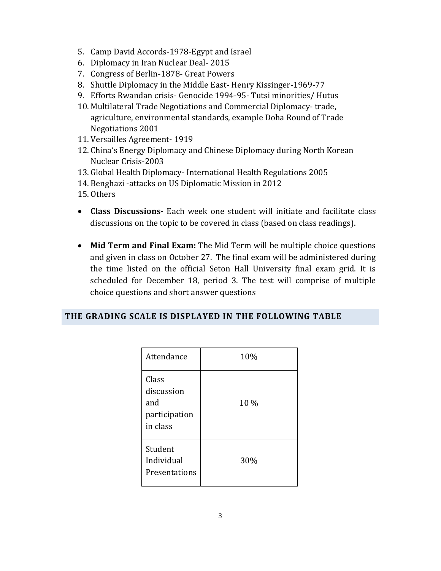- 5. Camp David Accords-1978-Egypt and Israel
- 6. Diplomacy in Iran Nuclear Deal- 2015
- 7. Congress of Berlin-1878- Great Powers
- 8. Shuttle Diplomacy in the Middle East- Henry Kissinger-1969-77
- 9. Efforts Rwandan crisis- Genocide 1994-95- Tutsi minorities/ Hutus
- 10. Multilateral Trade Negotiations and Commercial Diplomacy- trade, agriculture, environmental standards, example Doha Round of Trade Negotiations 2001
- 11. Versailles Agreement- 1919
- 12. China's Energy Diplomacy and Chinese Diplomacy during North Korean Nuclear Crisis-2003
- 13. Global Health Diplomacy- International Health Regulations 2005
- 14. Benghazi -attacks on US Diplomatic Mission in 2012
- 15. Others
- **Class Discussions-** Each week one student will initiate and facilitate class discussions on the topic to be covered in class (based on class readings).
- **Mid Term and Final Exam:** The Mid Term will be multiple choice questions and given in class on October 27. The final exam will be administered during the time listed on the official Seton Hall University final exam grid. It is scheduled for December 18, period 3. The test will comprise of multiple choice questions and short answer questions

## **THE GRADING SCALE IS DISPLAYED IN THE FOLLOWING TABLE**

| Attendance                                              | 10%  |
|---------------------------------------------------------|------|
| Class<br>discussion<br>and<br>participation<br>in class | 10 % |
| Student<br>Individual<br>Presentations                  | 30%  |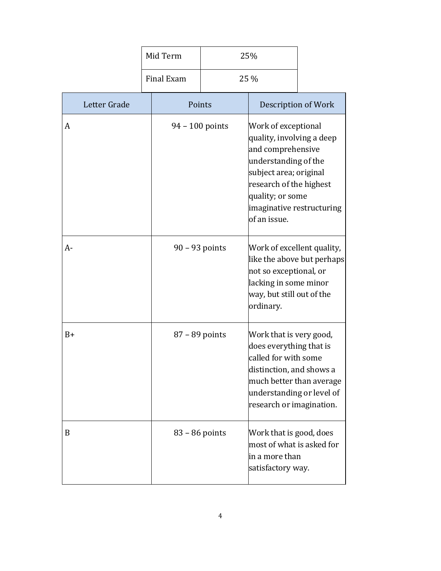|              |  | Mid Term          | 25% |                                                                                                                                                                                                                     |  |
|--------------|--|-------------------|-----|---------------------------------------------------------------------------------------------------------------------------------------------------------------------------------------------------------------------|--|
|              |  | Final Exam        |     | 25 %                                                                                                                                                                                                                |  |
| Letter Grade |  | Points            |     | Description of Work                                                                                                                                                                                                 |  |
| A            |  | $94 - 100$ points |     | Work of exceptional<br>quality, involving a deep<br>and comprehensive<br>understanding of the<br>subject area; original<br>research of the highest<br>quality; or some<br>imaginative restructuring<br>of an issue. |  |
| $A -$        |  | $90 - 93$ points  |     | Work of excellent quality,<br>like the above but perhaps<br>not so exceptional, or<br>lacking in some minor<br>way, but still out of the<br>ordinary.                                                               |  |
| $B+$         |  | 87 - 89 points    |     | Work that is very good,<br>does everything that is<br>called for with some<br>distinction, and shows a<br>much better than average<br>understanding or level of<br>research or imagination.                         |  |
| B            |  | $83 - 86$ points  |     | Work that is good, does<br>most of what is asked for<br>in a more than<br>satisfactory way.                                                                                                                         |  |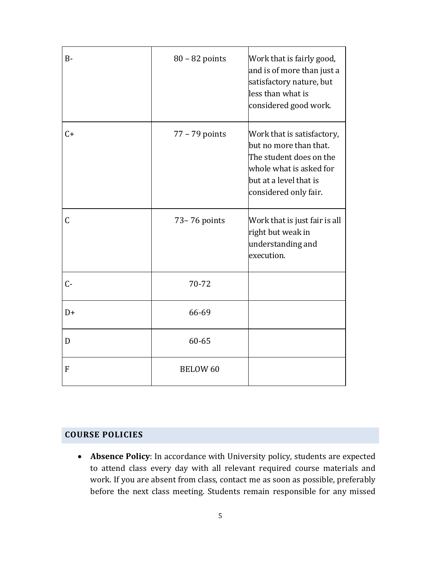| $B -$       | $80 - 82$ points | Work that is fairly good,<br>and is of more than just a<br>satisfactory nature, but<br>less than what is<br>considered good work.                             |
|-------------|------------------|---------------------------------------------------------------------------------------------------------------------------------------------------------------|
| $C+$        | $77 - 79$ points | Work that is satisfactory,<br>but no more than that.<br>The student does on the<br>whole what is asked for<br>but at a level that is<br>considered only fair. |
| $\mathsf C$ | 73-76 points     | Work that is just fair is all<br>right but weak in<br>understanding and<br>execution.                                                                         |
| $C -$       | 70-72            |                                                                                                                                                               |
| $D+$        | 66-69            |                                                                                                                                                               |
| D           | 60-65            |                                                                                                                                                               |
| F           | <b>BELOW 60</b>  |                                                                                                                                                               |

## **COURSE POLICIES**

• **Absence Policy**: In accordance with University policy, students are expected to attend class every day with all relevant required course materials and work. If you are absent from class, contact me as soon as possible, preferably before the next class meeting. Students remain responsible for any missed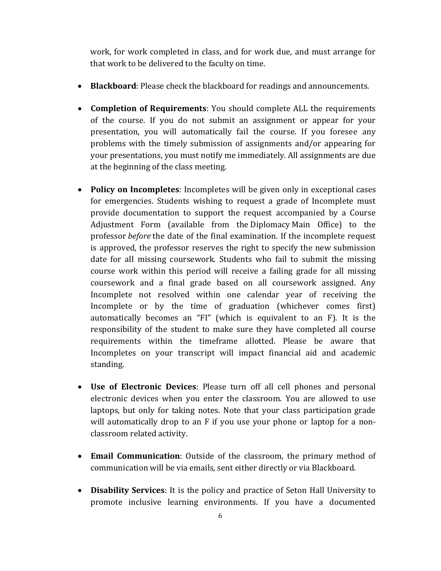work, for work completed in class, and for work due, and must arrange for that work to be delivered to the faculty on time.

- **Blackboard**: Please check the blackboard for readings and announcements.
- **Completion of Requirements**: You should complete ALL the requirements of the course. If you do not submit an assignment or appear for your presentation, you will automatically fail the course. If you foresee any problems with the timely submission of assignments and/or appearing for your presentations, you must notify me immediately. All assignments are due at the beginning of the class meeting.
- **Policy on Incompletes**: Incompletes will be given only in exceptional cases for emergencies. Students wishing to request a grade of Incomplete must provide documentation to support the request accompanied by a Course Adjustment Form (available from the Diplomacy Main Office) to the professor *before* the date of the final examination. If the incomplete request is approved, the professor reserves the right to specify the new submission date for all missing coursework. Students who fail to submit the missing course work within this period will receive a failing grade for all missing coursework and a final grade based on all coursework assigned. Any Incomplete not resolved within one calendar year of receiving the Incomplete or by the time of graduation (whichever comes first) automatically becomes an "FI" (which is equivalent to an F). It is the responsibility of the student to make sure they have completed all course requirements within the timeframe allotted. Please be aware that Incompletes on your transcript will impact financial aid and academic standing.
- **Use of Electronic Devices**: Please turn off all cell phones and personal electronic devices when you enter the classroom. You are allowed to use laptops, but only for taking notes. Note that your class participation grade will automatically drop to an F if you use your phone or laptop for a nonclassroom related activity.
- **Email Communication**: Outside of the classroom, the primary method of communication will be via emails, sent either directly or via Blackboard.
- **Disability Services**: It is the policy and practice of Seton Hall University to promote inclusive learning environments. If you have a documented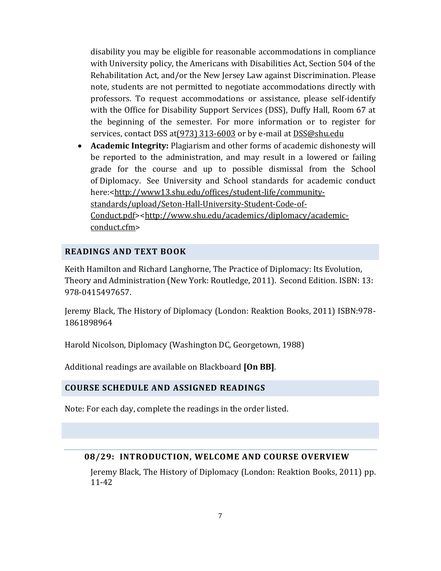disability you may be eligible for reasonable accommodations in compliance with University policy, the Americans with Disabilities Act, Section 504 of the Rehabilitation Act, and/or the New Jersey Law against Discrimination. Please note, students are not permitted to negotiate accommodations directly with professors. To request accommodations or assistance, please self-identify with the Office for Disability Support Services (DSS), Duffy Hall, Room 67 at the beginning of the semester. For more information or to register for services, contact DSS at (973) 313-6003 or by e-mail at [DSS@shu.edu](mailto:DSS@shu.edu)

• **Academic Integrity:** Plagiarism and other forms of academic dishonesty will be reported to the administration, and may result in a lowered or failing grade for the course and up to possible dismissal from the School of Diplomacy. See University and School standards for academic conduct here:[<http://www13.shu.edu/offices/student-life/community](http://www13.shu.edu/offices/student-life/community-standards/upload/Seton-Hall-University-Student-Code-of-Conduct.pdf)[standards/upload/Seton-Hall-University-Student-Code-of-](http://www13.shu.edu/offices/student-life/community-standards/upload/Seton-Hall-University-Student-Code-of-Conduct.pdf)[Conduct.pdf>](http://www13.shu.edu/offices/student-life/community-standards/upload/Seton-Hall-University-Student-Code-of-Conduct.pdf)[<http://www.shu.edu/academics/diplomacy/academic](http://www.shu.edu/academics/diplomacy/academic-conduct.cfm)[conduct.cfm>](http://www.shu.edu/academics/diplomacy/academic-conduct.cfm)

## **READINGS AND TEXT BOOK**

Keith Hamilton and Richard Langhorne, The Practice of Diplomacy: Its Evolution, Theory and Administration (New York: Routledge, 2011). Second Edition. ISBN: 13: 978-0415497657.

Jeremy Black, The History of Diplomacy (London: Reaktion Books, 2011) ISBN:978- 1861898964

Harold Nicolson, Diplomacy (Washington DC, Georgetown, 1988)

Additional readings are available on Blackboard **[On BB]**.

#### **COURSE SCHEDULE AND ASSIGNED READINGS**

Note: For each day, complete the readings in the order listed.

#### **08/29: INTRODUCTION, WELCOME AND COURSE OVERVIEW**

Jeremy Black, The History of Diplomacy (London: Reaktion Books, 2011) pp. 11-42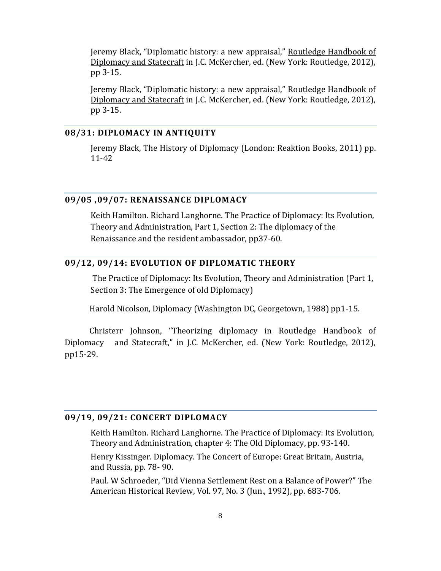Jeremy Black, "Diplomatic history: a new appraisal," Routledge Handbook of Diplomacy and Statecraft in J.C. McKercher, ed. (New York: Routledge, 2012), pp 3-15.

Jeremy Black, "Diplomatic history: a new appraisal," Routledge Handbook of Diplomacy and Statecraft in J.C. McKercher, ed. (New York: Routledge, 2012), pp 3-15.

#### **08/31: DIPLOMACY IN ANTIQUITY**

Jeremy Black, The History of Diplomacy (London: Reaktion Books, 2011) pp. 11-42

#### **09/05 ,09/07: RENAISSANCE DIPLOMACY**

Keith Hamilton. Richard Langhorne. The Practice of Diplomacy: Its Evolution, Theory and Administration, Part 1, Section 2: The diplomacy of the Renaissance and the resident ambassador, pp37-60.

## **09/12, 09/14: EVOLUTION OF DIPLOMATIC THEORY**

The Practice of Diplomacy: Its Evolution, Theory and Administration (Part 1, Section 3: The Emergence of old Diplomacy)

Harold Nicolson, Diplomacy (Washington DC, Georgetown, 1988) pp1-15.

 Christerr Johnson, "Theorizing diplomacy in Routledge Handbook of Diplomacy and Statecraft," in J.C. McKercher, ed. (New York: Routledge, 2012), pp15-29.

## **09/19, 09/21: CONCERT DIPLOMACY**

Keith Hamilton. Richard Langhorne. The Practice of Diplomacy: Its Evolution, Theory and Administration, chapter 4: The Old Diplomacy, pp. 93-140.

Henry Kissinger. Diplomacy. The Concert of Europe: Great Britain, Austria, and Russia, pp. 78- 90.

Paul. W Schroeder, "Did Vienna Settlement Rest on a Balance of Power?" The American Historical Review, Vol. 97, No. 3 (Jun., 1992), pp. 683-706.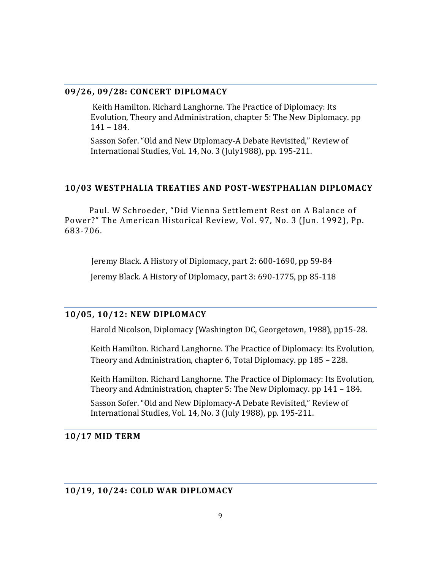#### **09/26, 09/28: CONCERT DIPLOMACY**

Keith Hamilton. Richard Langhorne. The Practice of Diplomacy: Its Evolution, Theory and Administration, chapter 5: The New Diplomacy. pp 141 – 184.

Sasson Sofer. "Old and New Diplomacy-A Debate Revisited," Review of International Studies, Vol. 14, No. 3 (July1988), pp. 195-211.

#### **10/03 WESTPHALIA TREATIES AND POST-WESTPHALIAN DIPLOMACY**

 Paul. W Schroeder, "Did Vienna Settlement Rest on A Balance of Power?" The American Historical Review, Vol. 97, No. 3 (Jun. 1992), Pp. 683-706.

 Jeremy Black. A History of Diplomacy, part 2: 600-1690, pp 59-84 Jeremy Black. A History of Diplomacy, part 3: 690-1775, pp 85-118

#### **10/05, 10/12: NEW DIPLOMACY**

Harold Nicolson, Diplomacy (Washington DC, Georgetown, 1988), pp15-28.

Keith Hamilton. Richard Langhorne. The Practice of Diplomacy: Its Evolution, Theory and Administration, chapter 6, Total Diplomacy. pp 185 – 228.

Keith Hamilton. Richard Langhorne. The Practice of Diplomacy: Its Evolution, Theory and Administration, chapter 5: The New Diplomacy. pp 141 – 184.

Sasson Sofer. "Old and New Diplomacy-A Debate Revisited," Review of International Studies, Vol. 14, No. 3 (July 1988), pp. 195-211.

#### **10/17 MID TERM**

#### **10/19, 10/24: COLD WAR DIPLOMACY**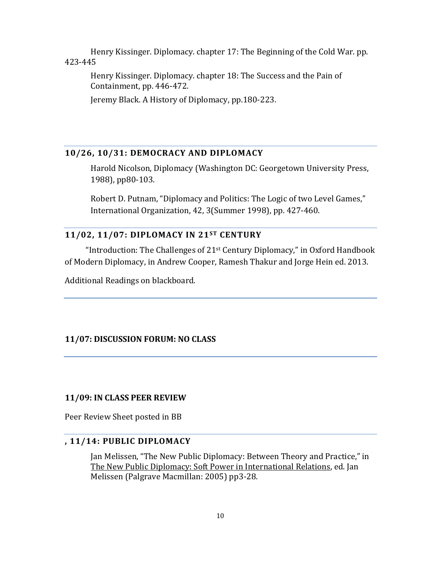Henry Kissinger. Diplomacy. chapter 17: The Beginning of the Cold War. pp. 423-445

Henry Kissinger. Diplomacy. chapter 18: The Success and the Pain of Containment, pp. 446-472.

Jeremy Black. A History of Diplomacy, pp.180-223.

## **10/26, 10/31: DEMOCRACY AND DIPLOMACY**

Harold Nicolson, Diplomacy (Washington DC: Georgetown University Press, 1988), pp80-103.

Robert D. Putnam, "Diplomacy and Politics: The Logic of two Level Games," International Organization, 42, 3(Summer 1998), pp. 427-460.

## **11/02, 11/07: DIPLOMACY IN 21ST CENTURY**

"Introduction: The Challenges of  $21<sup>st</sup>$  Century Diplomacy," in Oxford Handbook of Modern Diplomacy, in Andrew Cooper, Ramesh Thakur and Jorge Hein ed. 2013.

Additional Readings on blackboard.

#### **11/07: DISCUSSION FORUM: NO CLASS**

#### **11/09: IN CLASS PEER REVIEW**

Peer Review Sheet posted in BB

### **, 11/14: PUBLIC DIPLOMACY**

Jan Melissen, "The New Public Diplomacy: Between Theory and Practice," in The New Public Diplomacy: Soft Power in International Relations, ed. Jan Melissen (Palgrave Macmillan: 2005) pp3-28.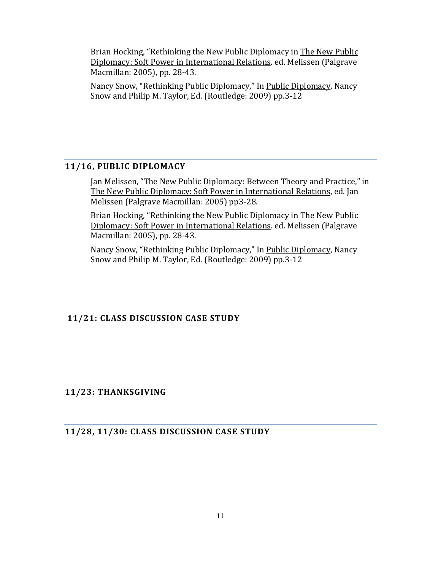Brian Hocking, "Rethinking the New Public Diplomacy in The New Public Diplomacy: Soft Power in International Relations. ed. Melissen (Palgrave Macmillan: 2005), pp. 28-43.

Nancy Snow, "Rethinking Public Diplomacy," In Public Diplomacy, Nancy Snow and Philip M. Taylor, Ed. (Routledge: 2009) pp.3-12

## **11/16, PUBLIC DIPLOMACY**

Jan Melissen, "The New Public Diplomacy: Between Theory and Practice," in The New Public Diplomacy: Soft Power in International Relations, ed. Jan Melissen (Palgrave Macmillan: 2005) pp3-28.

Brian Hocking, "Rethinking the New Public Diplomacy in The New Public Diplomacy: Soft Power in International Relations. ed. Melissen (Palgrave Macmillan: 2005), pp. 28-43.

Nancy Snow, "Rethinking Public Diplomacy," In Public Diplomacy, Nancy Snow and Philip M. Taylor, Ed. (Routledge: 2009) pp.3-12

## **11/21: CLASS DISCUSSION CASE STUDY**

## **11/23: THANKSGIVING**

**11/28, 11/30: CLASS DISCUSSION CASE STUDY**